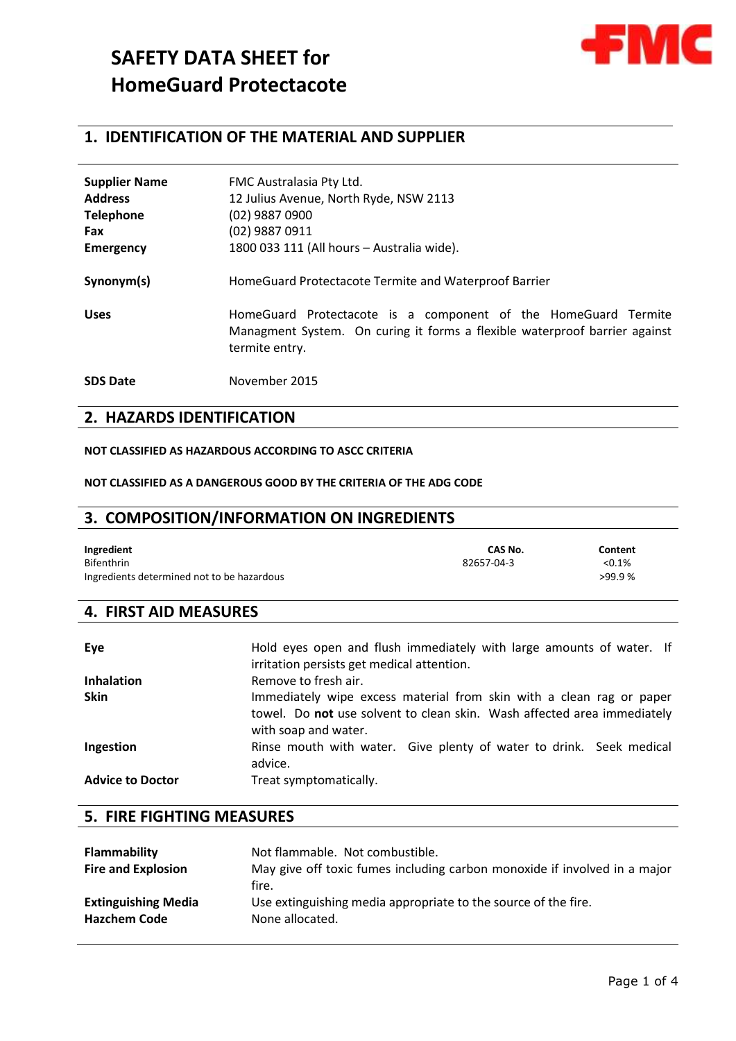

# **1. IDENTIFICATION OF THE MATERIAL AND SUPPLIER**

| <b>Supplier Name</b> | FMC Australasia Pty Ltd.                                                                                                                                       |  |  |
|----------------------|----------------------------------------------------------------------------------------------------------------------------------------------------------------|--|--|
| <b>Address</b>       | 12 Julius Avenue, North Ryde, NSW 2113                                                                                                                         |  |  |
| <b>Telephone</b>     | (02) 9887 0900                                                                                                                                                 |  |  |
| Fax                  | (02) 9887 0911                                                                                                                                                 |  |  |
| <b>Emergency</b>     | 1800 033 111 (All hours - Australia wide).                                                                                                                     |  |  |
| Synonym(s)           | HomeGuard Protectacote Termite and Waterproof Barrier                                                                                                          |  |  |
| <b>Uses</b>          | HomeGuard Protectacote is a component of the HomeGuard Termite<br>Managment System. On curing it forms a flexible waterproof barrier against<br>termite entry. |  |  |
| <b>SDS Date</b>      | November 2015                                                                                                                                                  |  |  |

# **2. HAZARDS IDENTIFICATION**

#### **NOT CLASSIFIED AS HAZARDOUS ACCORDING TO ASCC CRITERIA**

#### **NOT CLASSIFIED AS A DANGEROUS GOOD BY THE CRITERIA OF THE ADG CODE**

#### **3. COMPOSITION/INFORMATION ON INGREDIENTS Ingredient CAS No. Content** Bifenthrin Ingredients determined not to be hazardous 82657-04-3 <0.1% >99.9 %

### **4. FIRST AID MEASURES**

| Eye                     | Hold eyes open and flush immediately with large amounts of water. If<br>irritation persists get medical attention.                                                      |
|-------------------------|-------------------------------------------------------------------------------------------------------------------------------------------------------------------------|
| Inhalation              | Remove to fresh air.                                                                                                                                                    |
| <b>Skin</b>             | Immediately wipe excess material from skin with a clean rag or paper<br>towel. Do not use solvent to clean skin. Wash affected area immediately<br>with soap and water. |
| Ingestion               | Rinse mouth with water. Give plenty of water to drink. Seek medical<br>advice.                                                                                          |
| <b>Advice to Doctor</b> | Treat symptomatically.                                                                                                                                                  |

#### **5. FIRE FIGHTING MEASURES**

| Flammability<br><b>Fire and Explosion</b> | Not flammable. Not combustible.<br>May give off toxic fumes including carbon monoxide if involved in a major<br>fire. |
|-------------------------------------------|-----------------------------------------------------------------------------------------------------------------------|
| <b>Extinguishing Media</b>                | Use extinguishing media appropriate to the source of the fire.                                                        |
| <b>Hazchem Code</b>                       | None allocated.                                                                                                       |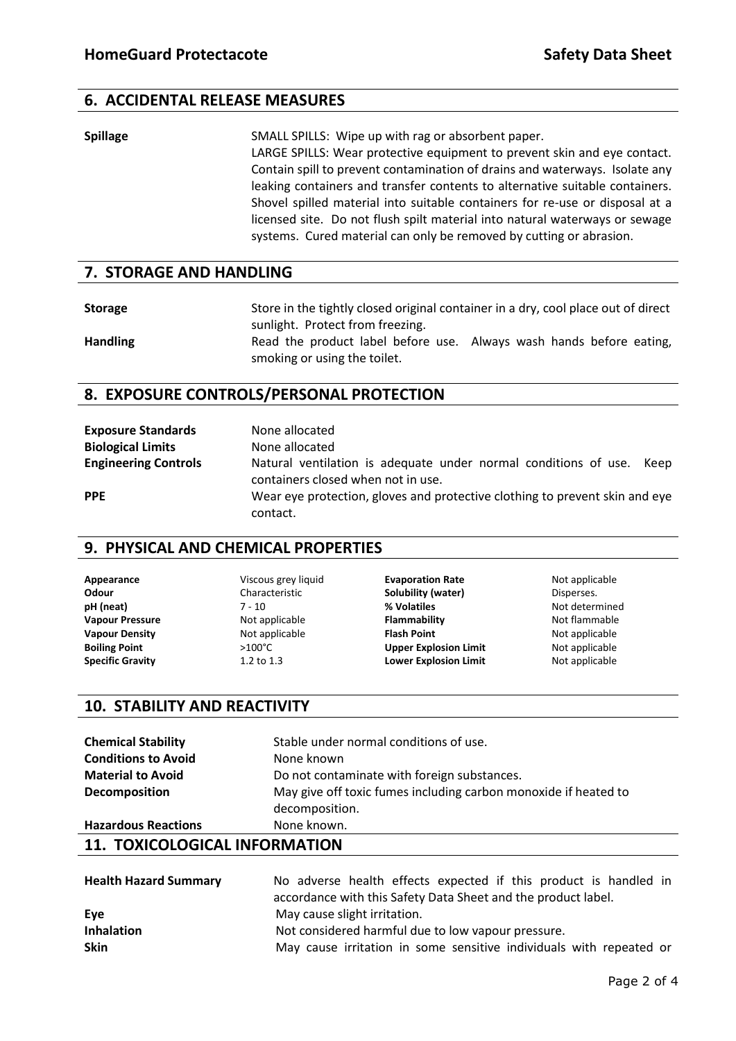# **6. ACCIDENTAL RELEASE MEASURES**

**Spillage** SMALL SPILLS: Wipe up with rag or absorbent paper. LARGE SPILLS: Wear protective equipment to prevent skin and eye contact. Contain spill to prevent contamination of drains and waterways. Isolate any leaking containers and transfer contents to alternative suitable containers. Shovel spilled material into suitable containers for re-use or disposal at a licensed site. Do not flush spilt material into natural waterways or sewage systems. Cured material can only be removed by cutting or abrasion.

#### **7. STORAGE AND HANDLING**

| <b>Storage</b>  | Store in the tightly closed original container in a dry, cool place out of direct |  |  |
|-----------------|-----------------------------------------------------------------------------------|--|--|
|                 | sunlight. Protect from freezing.                                                  |  |  |
| <b>Handling</b> | Read the product label before use. Always wash hands before eating,               |  |  |
|                 | smoking or using the toilet.                                                      |  |  |

### **8. EXPOSURE CONTROLS/PERSONAL PROTECTION**

| <b>Exposure Standards</b><br><b>Biological Limits</b> | None allocated<br>None allocated                                                                           |
|-------------------------------------------------------|------------------------------------------------------------------------------------------------------------|
| <b>Engineering Controls</b>                           | Natural ventilation is adequate under normal conditions of use. Keep<br>containers closed when not in use. |
| <b>PPE</b>                                            | Wear eye protection, gloves and protective clothing to prevent skin and eye<br>contact.                    |

### **9. PHYSICAL AND CHEMICAL PROPERTIES**

**Appearance** Viscous grey liquid **Evaporation Rate** Not applicable **Odour Characteristic <b>Solubility (water)** Disperses. **pH (neat)** 7 - 10 **% Volatiles** Not determined **Vapour Pressure Not applicable <b>Flammability Not flammable Not flammable Vapour Density** Not applicable **Flash Point** Not applicable **Boiling Point** >100°C **Upper Explosion Limit** Not applicable **Specific Gravity 1.2 to 1.3 Lower Explosion Limit** Mot applicable

### **10. STABILITY AND REACTIVITY**

| <b>Conditions to Avoid</b><br>None known<br><b>Material to Avoid</b><br>Do not contaminate with foreign substances.<br>May give off toxic fumes including carbon monoxide if heated to<br><b>Decomposition</b><br>decomposition.<br>None known.<br><b>Hazardous Reactions</b> | <b>11. TOXICOLOGICAL INFORMATION</b> |  |  |
|-------------------------------------------------------------------------------------------------------------------------------------------------------------------------------------------------------------------------------------------------------------------------------|--------------------------------------|--|--|
|                                                                                                                                                                                                                                                                               |                                      |  |  |
|                                                                                                                                                                                                                                                                               |                                      |  |  |
|                                                                                                                                                                                                                                                                               |                                      |  |  |
|                                                                                                                                                                                                                                                                               |                                      |  |  |
|                                                                                                                                                                                                                                                                               |                                      |  |  |
| Stable under normal conditions of use.<br><b>Chemical Stability</b>                                                                                                                                                                                                           |                                      |  |  |

### **Health Hazard Summary** No adverse health effects expected if this product is handled in accordance with this Safety Data Sheet and the product label. **Eye** May cause slight irritation. **Inhalation** Not considered harmful due to low vapour pressure. **Skin** May cause irritation in some sensitive individuals with repeated or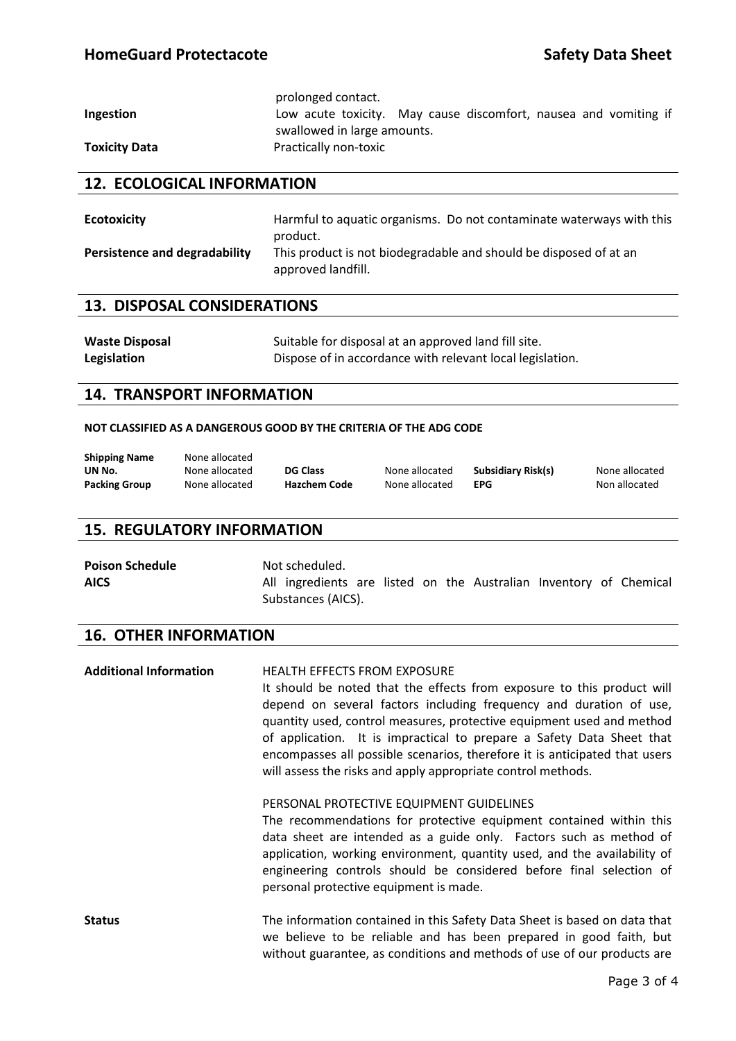|                      | prolonged contact.                                               |
|----------------------|------------------------------------------------------------------|
| Ingestion            | Low acute toxicity. May cause discomfort, nausea and vomiting if |
|                      | swallowed in large amounts.                                      |
| <b>Toxicity Data</b> | Practically non-toxic                                            |
|                      |                                                                  |

### **12. ECOLOGICAL INFORMATION**

| <b>Ecotoxicity</b>            | Harmful to aquatic organisms. Do not contaminate waterways with this                                |
|-------------------------------|-----------------------------------------------------------------------------------------------------|
| Persistence and degradability | product.<br>This product is not biodegradable and should be disposed of at an<br>approved landfill. |

### **13. DISPOSAL CONSIDERATIONS**

Waste Disposal **Waste Disposal** Suitable for disposal at an approved land fill site. **Legislation** Dispose of in accordance with relevant local legislation.

### **14. TRANSPORT INFORMATION**

#### **NOT CLASSIFIED AS A DANGEROUS GOOD BY THE CRITERIA OF THE ADG CODE**

| <b>Shipping Name</b> | None allocated |                     |                |                    |                |
|----------------------|----------------|---------------------|----------------|--------------------|----------------|
| UN No.               | None allocated | <b>DG Class</b>     | None allocated | Subsidiary Risk(s) | None allocated |
| <b>Packing Group</b> | None allocated | <b>Hazchem Code</b> | None allocated | EPG                | Non allocated  |

### **15. REGULATORY INFORMATION**

**Poison Schedule** Not scheduled. **AICS** All ingredients are listed on the Australian Inventory of Chemical Substances (AICS).

### **16. OTHER INFORMATION**

| <b>Additional Information</b> | <b>HEALTH EFFECTS FROM EXPOSURE</b><br>It should be noted that the effects from exposure to this product will<br>depend on several factors including frequency and duration of use,<br>quantity used, control measures, protective equipment used and method<br>of application. It is impractical to prepare a Safety Data Sheet that<br>encompasses all possible scenarios, therefore it is anticipated that users<br>will assess the risks and apply appropriate control methods. |
|-------------------------------|-------------------------------------------------------------------------------------------------------------------------------------------------------------------------------------------------------------------------------------------------------------------------------------------------------------------------------------------------------------------------------------------------------------------------------------------------------------------------------------|
|                               | PERSONAL PROTECTIVE EQUIPMENT GUIDELINES<br>The recommendations for protective equipment contained within this<br>data sheet are intended as a guide only. Factors such as method of<br>application, working environment, quantity used, and the availability of<br>engineering controls should be considered before final selection of<br>personal protective equipment is made.                                                                                                   |
| <b>Status</b>                 | The information contained in this Safety Data Sheet is based on data that<br>we believe to be reliable and has been prepared in good faith, but<br>without guarantee, as conditions and methods of use of our products are                                                                                                                                                                                                                                                          |